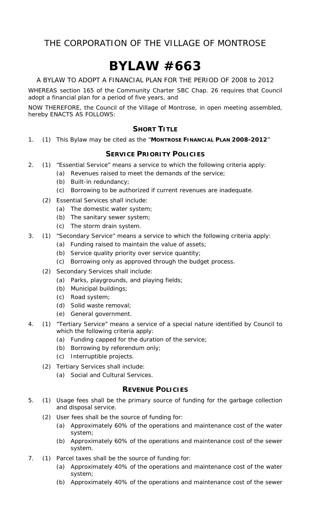# **BYLAW #663**

A BYLAW TO ADOPT A FINANCIAL PLAN FOR THE PERIOD OF 2008 to 2012

WHEREAS section 165 of the *Community Charter* SBC Chap. 26 requires that Council adopt a financial plan for a period of five years, and

NOW THEREFORE, the Council of the Village of Montrose, in open meeting assembled, hereby ENACTS AS FOLLOWS:

#### **SHORT TITLE**

1. (1) This Bylaw may be cited as the "**MONTROSE FINANCIAL PLAN 2008-2012**"

#### **SERVICE PRIORITY POLICIES**

- 2. (1) "Essential Service" means a service to which the following criteria apply:
	- (a) Revenues raised to meet the demands of the service;
	- (b) Built-in redundancy;
	- (c) Borrowing to be authorized if current revenues are inadequate.
	- (2) Essential Services shall include:
		- (a) The domestic water system;
		- (b) The sanitary sewer system;
		- (c) The storm drain system.
- 3. (1) "Secondary Service" means a service to which the following criteria apply:
	- (a) Funding raised to maintain the value of assets;
	- (b) Service quality priority over service quantity;
	- (c) Borrowing only as approved through the budget process.
	- (2) Secondary Services shall include:
		- (a) Parks, playgrounds, and playing fields;
		- (b) Municipal buildings;
		- (c) Road system;
		- (d) Solid waste removal;
		- (e) General government.
- 4. (1) "Tertiary Service" means a service of a special nature identified by Council to which the following criteria apply:
	- (a) Funding capped for the duration of the service;
	- (b) Borrowing by referendum only;
	- (c) Interruptible projects.
	- (2) Tertiary Services shall include:
		- (a) Social and Cultural Services.

#### **REVENUE POLICIES**

- 5. (1) Usage fees shall be the primary source of funding for the garbage collection and disposal service.
	- (2) User fees shall be the source of funding for:
		- (a) Approximately 60% of the operations and maintenance cost of the water system;
		- (b) Approximately 60% of the operations and maintenance cost of the sewer system.
- 7. (1) Parcel taxes shall be the source of funding for:
	- (a) Approximately 40% of the operations and maintenance cost of the water system;
	- (b) Approximately 40% of the operations and maintenance cost of the sewer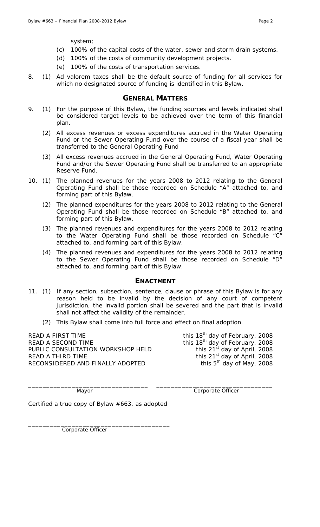system;

- (c) 100% of the capital costs of the water, sewer and storm drain systems.
- (d) 100% of the costs of community development projects.
- (e) 100% of the costs of transportation services.
- 8. (1) Ad valorem taxes shall be the default source of funding for all services for which no designated source of funding is identified in this Bylaw.

#### **GENERAL MATTERS**

- 9. (1) For the purpose of this Bylaw, the funding sources and levels indicated shall be considered target levels to be achieved over the term of this financial plan.
	- (2) All excess revenues or excess expenditures accrued in the Water Operating Fund or the Sewer Operating Fund over the course of a fiscal year shall be transferred to the General Operating Fund
	- (3) All excess revenues accrued in the General Operating Fund, Water Operating Fund and/or the Sewer Operating Fund shall be transferred to an appropriate Reserve Fund.
- 10. (1) The planned revenues for the years 2008 to 2012 relating to the General Operating Fund shall be those recorded on Schedule "A" attached to, and forming part of this Bylaw.
	- (2) The planned expenditures for the years 2008 to 2012 relating to the General Operating Fund shall be those recorded on Schedule "B" attached to, and forming part of this Bylaw.
	- (3) The planned revenues and expenditures for the years 2008 to 2012 relating to the Water Operating Fund shall be those recorded on Schedule "C" attached to, and forming part of this Bylaw.
	- (4) The planned revenues and expenditures for the years 2008 to 2012 relating to the Sewer Operating Fund shall be those recorded on Schedule "D" attached to, and forming part of this Bylaw.

#### **ENACTMENT**

11. (1) If any section, subsection, sentence, clause or phrase of this Bylaw is for any reason held to be invalid by the decision of any court of competent jurisdiction, the invalid portion shall be severed and the part that is invalid shall not affect the validity of the remainder.

\_\_\_\_\_\_\_\_\_\_\_\_\_\_\_\_\_\_\_\_\_\_\_\_\_\_\_\_\_\_\_\_\_ \_\_\_\_\_\_\_\_\_\_\_\_\_\_\_\_\_\_\_\_\_\_\_\_\_\_\_\_\_\_\_\_

(2) This Bylaw shall come into full force and effect on final adoption.

READ A FIRST TIME  $t^{\text{th}}$  day of February, 2008 READ A SECOND TIME THIS 18<sup>th</sup> day of February, 2008 PUBLIC CONSULTATION WORKSHOP HELD this 21<sup>st</sup> day of April, 2008 READ A THIRD TIME  $\frac{1}{2008}$  this 21<sup>st</sup> day of April, 2008 RECONSIDERED AND FINALLY ADOPTED this 5<sup>th</sup> day of May, 2008

Mayor **Mayor** Corporate Officer

Certified a true copy of Bylaw #663, as adopted

\_\_\_\_\_\_\_\_\_\_\_\_\_\_\_\_\_\_\_\_\_\_\_\_\_\_\_\_\_\_\_\_\_\_\_\_\_\_\_

Corporate Officer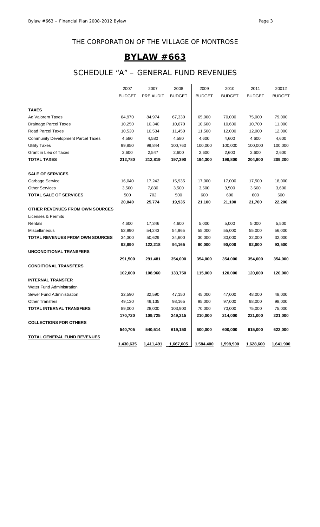# **BYLAW #663**

# SCHEDULE "A" – GENERAL FUND REVENUES

|                                           | 2007          | 2007      | 2008          | 2009          | 2010          | 2011          | 20012         |
|-------------------------------------------|---------------|-----------|---------------|---------------|---------------|---------------|---------------|
|                                           | <b>BUDGET</b> | PRE AUDIT | <b>BUDGET</b> | <b>BUDGET</b> | <b>BUDGET</b> | <b>BUDGET</b> | <b>BUDGET</b> |
|                                           |               |           |               |               |               |               |               |
| <b>TAXES</b>                              |               |           |               |               |               |               |               |
| Ad Valorem Taxes                          | 84,970        | 84,974    | 67,330        | 65,000        | 70,000        | 75,000        | 79,000        |
| <b>Drainage Parcel Taxes</b>              | 10,250        | 10,340    | 10,670        | 10,600        | 10,600        | 10,700        | 11,000        |
| Road Parcel Taxes                         | 10,530        | 10,534    | 11,450        | 11,500        | 12,000        | 12,000        | 12,000        |
| <b>Community Development Parcel Taxes</b> | 4,580         | 4,580     | 4,580         | 4,600         | 4,600         | 4,600         | 4,600         |
| <b>Utility Taxes</b>                      | 99,850        | 99,844    | 100,760       | 100,000       | 100,000       | 100,000       | 100,000       |
| Grant in Lieu of Taxes                    | 2,600         | 2,547     | 2,600         | 2,600         | 2,600         | 2,600         | 2,600         |
| <b>TOTAL TAXES</b>                        | 212,780       | 212,819   | 197,390       | 194,300       | 199,800       | 204,900       | 209,200       |
| <b>SALE OF SERVICES</b>                   |               |           |               |               |               |               |               |
| Garbage Service                           | 16,040        | 17,242    | 15,935        | 17,000        | 17,000        | 17,500        | 18,000        |
| <b>Other Services</b>                     | 3,500         | 7,830     | 3,500         | 3,500         | 3,500         | 3,600         | 3,600         |
| TOTAL SALE OF SERVICES                    | 500           | 702       | 500           | 600           | 600           | 600           | 600           |
|                                           | 20,040        | 25,774    | 19,935        | 21,100        | 21,100        | 21,700        | 22,200        |
| OTHER REVENUES FROM OWN SOURCES           |               |           |               |               |               |               |               |
| Licenses & Permits                        |               |           |               |               |               |               |               |
| Rentals                                   | 4,600         | 17,346    | 4,600         | 5,000         | 5,000         | 5,000         | 5,500         |
| Miscellaneous                             | 53,990        | 54,243    | 54,965        | 55,000        | 55,000        | 55,000        | 56,000        |
| <b>TOTAL REVENUES FROM OWN SOURCES</b>    | 34,300        | 50,629    | 34,600        | 30,000        | 30,000        | 32,000        | 32,000        |
|                                           | 92,890        | 122,218   | 94,165        | 90,000        | 90,000        | 92,000        | 93,500        |
| <b>UNCONDITIONAL TRANSFERS</b>            |               |           |               |               |               |               |               |
|                                           | 291,500       | 291,481   | 354,000       | 354,000       | 354,000       | 354,000       | 354,000       |
| <b>CONDITIONAL TRANSFERS</b>              |               |           |               |               |               |               |               |
|                                           | 102,000       | 108,960   | 133,750       | 115,000       | 120,000       | 120,000       | 120,000       |
| <b>INTERNAL TRANSFER</b>                  |               |           |               |               |               |               |               |
| <b>Water Fund Administration</b>          |               |           |               |               |               |               |               |
| Sewer Fund Administration                 | 32,590        | 32,590    | 47,150        | 45,000        | 47,000        | 48,000        | 48,000        |
| <b>Other Transfers</b>                    | 49,130        | 49,135    | 98,165        | 95,000        | 97,000        | 98,000        | 98,000        |
| <b>TOTAL INTERNAL TRANSFERS</b>           | 89,000        | 28,000    | 103,900       | 70,000        | 70,000        | 75,000        | 75,000        |
|                                           | 170,720       | 109,725   | 249,215       | 210,000       | 214,000       | 221,000       | 221,000       |
| <b>COLLECTIONS FOR OTHERS</b>             |               |           |               |               |               |               |               |
|                                           | 540,705       | 540,514   | 619,150       | 600,000       | 600,000       | 615,000       | 622,000       |
| <b>TOTAL GENERAL FUND REVENUES</b>        |               |           |               |               |               |               |               |
|                                           | 1,430,635     | 1,411,491 | 1,667,605     | 1,584,400     | 1,598,900     | 1,628,600     | 1,641,900     |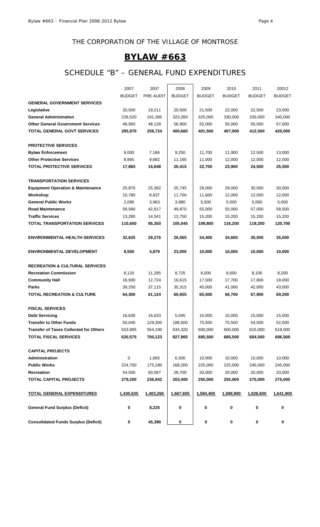# **BYLAW #663**

### SCHEDULE "B" – GENERAL FUND EXPENDITURES

|                                               | 2007          | 2007             | 2008          | 2009          | 2010          | 2011          | 20012         |
|-----------------------------------------------|---------------|------------------|---------------|---------------|---------------|---------------|---------------|
|                                               | <b>BUDGET</b> | <b>PRE AUDIT</b> | <b>BUDGET</b> | <b>BUDGET</b> | <b>BUDGET</b> | <b>BUDGET</b> | <b>BUDGET</b> |
| <b>GENERAL GOVERNMENT SERVICES</b>            |               |                  |               |               |               |               |               |
| Legislative                                   | 20,500        | 19,211           | 20,500        | 21,500        | 22,000        | 22,500        | 23,000        |
| <b>General Administration</b>                 | 228,520       | 191,385          | 323,260       | 325,000       | 330,000       | 335,000       | 340,000       |
| <b>Other General Government Services</b>      | 46,950        | 48,128           | 56,900        | 55,000        | 55,000        | 55,000        | 57,000        |
| <b>TOTAL GENERAL GOVT SERVICES</b>            | 295,970       | 258,724          | 400,660       | 401,500       | 407,000       | 412,500       | 420,000       |
|                                               |               |                  |               |               |               |               |               |
| <b>PROTECTIVE SERVICES</b>                    |               |                  |               |               |               |               |               |
| <b>Bylaw Enforcement</b>                      | 9,000         | 7,166            | 9,250         | 11,700        | 11,900        | 12,500        | 13,000        |
| <b>Other Protective Services</b>              | 8,865         | 9,682            | 11,165        | 11,000        | 12,000        | 12,000        | 12,500        |
| <b>TOTAL PROTECTIVE SERVICES</b>              | 17,865        | 16,848           | 20,415        | 22,700        | 23,900        | 24,500        | 25,500        |
| <b>TRANSPORTATION SERVICES</b>                |               |                  |               |               |               |               |               |
| <b>Equipment Operation &amp; Maintenance</b>  | 25,870        | 25,392           | 25,745        | 28,000        | 29,000        | 30,000        | 30,000        |
| Workshop                                      | 10,780        | 8,637            | 11,700        | 11,600        | 12,000        | 12,000        | 12,000        |
| <b>General Public Works</b>                   | 2,090         | 3,963            | 3,980         | 5,000         | 5,000         | 5,000         | 5,000         |
| <b>Road Maintenance</b>                       | 58,580        | 42,817           | 49,870        | 55,000        | 55,000        | 57,000        | 58,500        |
| <b>Traffic Services</b>                       | 13,280        | 14,541           | 13,750        | 15,200        | 15,200        | 15,200        | 15,200        |
| <b>TOTAL TRANSPORTATION SERVICES</b>          | 110,600       | 95,350           | 105,045       | 109,800       | 116,200       | 119,200       | 120,700       |
| <b>ENVIRONMENTAL HEALTH SERVICES</b>          | 32,625        | 29,276           | 26,565        | 34,400        | 34,600        | 35,000        | 35,000        |
|                                               |               |                  |               |               |               |               |               |
| <b>ENVIRONMENTAL DEVELOPMENT</b>              | 9,500         | 4,879            | 23,000        | 10,000        | 10,000        | 10,000        | 10,000        |
| <b>RECREATION &amp; CULTURAL SERVICES</b>     |               |                  |               |               |               |               |               |
| <b>Recreation Commission</b>                  | 8,120         | 11,285           | 8,725         | 8,000         | 8,000         | 8,100         | 8,200         |
| <b>Community Hall</b>                         | 16,930        | 12,724           | 16,615        | 17,500        | 17,700        | 17,800        | 18,000        |
| <b>Parks</b>                                  | 39,250        | 37,115           | 35,315        | 40,000        | 41,000        | 42,000        | 43,000        |
| <b>TOTAL RECREATION &amp; CULTURE</b>         | 64,300        | 61,124           | 60,655        | 65,500        | 66,700        | 67,900        | 69,200        |
| <b>FISCAL SERVICES</b>                        |               |                  |               |               |               |               |               |
| <b>Debt Servicing</b>                         | 16,630        | 16,633           | 5,045         | 10,000        | 10,000        | 15,000        | 15,000        |
| <b>Transfer to Other Funds</b>                | 50,040        | 129,300          | 188,500       | 75,500        | 75,500        | 54,500        | 52,500        |
| <b>Transfer of Taxes Collected for Others</b> | 553,905       | 554,190          | 634,320       | 600,000       | 600,000       | 615,000       | 619,000       |
| <b>TOTAL FISCAL SERVICES</b>                  | 620,575       | 700,123          | 827,865       | 685,500       | 685,500       | 684,500       | 686,500       |
| <b>CAPITAL PROJECTS</b>                       |               |                  |               |               |               |               |               |
| Administration                                | $\pmb{0}$     | 1,665            | 6,500         | 10,000        | 10,000        | 10,000        | 10,000        |
| <b>Public Works</b>                           | 224,700       | 175,180          | 168,200       | 225,000       | 225,000       | 245,000       | 245,000       |
| <b>Recreation</b>                             | 54,500        | 60,097           | 28,700        | 20,000        | 20,000        | 20,000        | 20,000        |
| <b>TOTAL CAPITAL PROJECTS</b>                 | 279,200       | 236,942          | 203,400       | 255,000       | 255,000       | 275,000       | 275,000       |
|                                               |               |                  |               |               |               |               |               |
| <b>TOTAL GENERAL EXPENDITURES</b>             | 1,430,635     | 1,403,266        | 1,667,605     | 1,584,400     | 1,598,900     | 1,628,600     | 1,641,900     |
| <b>General Fund Surplus (Deficit)</b>         | 0             | 8,225            | 0             | 0             | 0             | 0             | 0             |
| <b>Consolidated Funds Surplus (Deficit)</b>   | 0             | 45,390           | 0             | 0             | 0             | 0             | 0             |
|                                               |               |                  |               |               |               |               |               |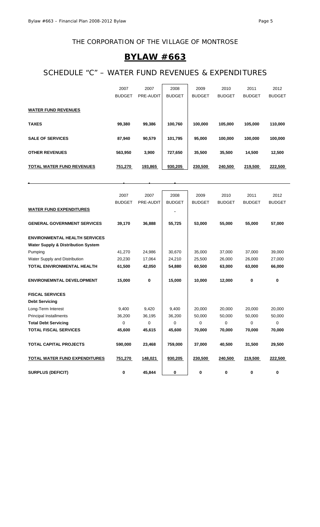### **BYLAW #663**

# SCHEDULE "C" – WATER FUND REVENUES & EXPENDITURES

|                                  | 2007          | 2007      | 2008          | 2009          | 2010          | 2011          | 2012          |
|----------------------------------|---------------|-----------|---------------|---------------|---------------|---------------|---------------|
|                                  | <b>BUDGET</b> | PRE-AUDIT | <b>BUDGET</b> | <b>BUDGET</b> | <b>BUDGET</b> | <b>BUDGET</b> | <b>BUDGET</b> |
| <b>WATER FUND REVENUES</b>       |               |           |               |               |               |               |               |
| <b>TAXES</b>                     | 99,380        | 99,386    | 100,760       | 100,000       | 105,000       | 105,000       | 110,000       |
| <b>SALE OF SERVICES</b>          | 87,940        | 90,579    | 101,795       | 95,000        | 100,000       | 100,000       | 100,000       |
| <b>OTHER REVENUES</b>            | 563,950       | 3,900     | 727,650       | 35,500        | 35,500        | 14,500        | 12,500        |
| <b>TOTAL WATER FUND REVENUES</b> | 751,270       | 193,865   | 930,205       | 230,500       | 240,500       | 219,500       | 222,500       |

|                                               | 2007          | 2007      | 2008          | 2009          | 2010          | 2011          | 2012          |
|-----------------------------------------------|---------------|-----------|---------------|---------------|---------------|---------------|---------------|
| <b>WATER FUND EXPENDITURES</b>                | <b>BUDGET</b> | PRE-AUDIT | <b>BUDGET</b> | <b>BUDGET</b> | <b>BUDGET</b> | <b>BUDGET</b> | <b>BUDGET</b> |
|                                               |               |           |               |               |               |               |               |
| <b>GENERAL GOVERNMENT SERVICES</b>            | 39,170        | 36,888    | 55,725        | 53,000        | 55,000        | 55,000        | 57,000        |
| <b>ENVIRONMENTAL HEALTH SERVICES</b>          |               |           |               |               |               |               |               |
| <b>Water Supply &amp; Distribution System</b> |               |           |               |               |               |               |               |
| Pumping                                       | 41,270        | 24,986    | 30,670        | 35,000        | 37,000        | 37,000        | 39,000        |
| Water Supply and Distribution                 | 20,230        | 17,064    | 24,210        | 25,500        | 26,000        | 26,000        | 27,000        |
| <b>TOTAL ENVIRONMENTAL HEALTH</b>             | 61,500        | 42,050    | 54,880        | 60,500        | 63,000        | 63,000        | 66,000        |
| <b>ENVIRONEMNTAL DEVELOPMENT</b>              | 15,000        | $\bf{0}$  | 15,000        | 10,000        | 12,000        | 0             | 0             |
| <b>FISCAL SERVICES</b>                        |               |           |               |               |               |               |               |
| <b>Debt Servicing</b>                         |               |           |               |               |               |               |               |
| Long-Term Interest                            | 9,400         | 9,420     | 9,400         | 20,000        | 20,000        | 20,000        | 20,000        |
| <b>Principal Installments</b>                 | 36,200        | 36,195    | 36,200        | 50,000        | 50,000        | 50,000        | 50,000        |
| <b>Total Debt Servicing</b>                   | $\mathbf 0$   | $\Omega$  | 0             | 0             | $\Omega$      | 0             | 0             |
| <b>TOTAL FISCAL SERVICES</b>                  | 45,600        | 45,615    | 45,600        | 70,000        | 70,000        | 70,000        | 70,000        |
| <b>TOTAL CAPITAL PROJECTS</b>                 | 590,000       | 23,468    | 759,000       | 37,000        | 40,500        | 31,500        | 29,500        |
| TOTAL WATER FUND EXPENDITURES                 | 751,270       | 148,021   | 930,205       | 230,500       | 240,500       | 219,500       | 222,500       |
| <b>SURPLUS (DEFICIT)</b>                      | 0             | 45.844    | 0             | 0             | 0             | 0             | 0             |